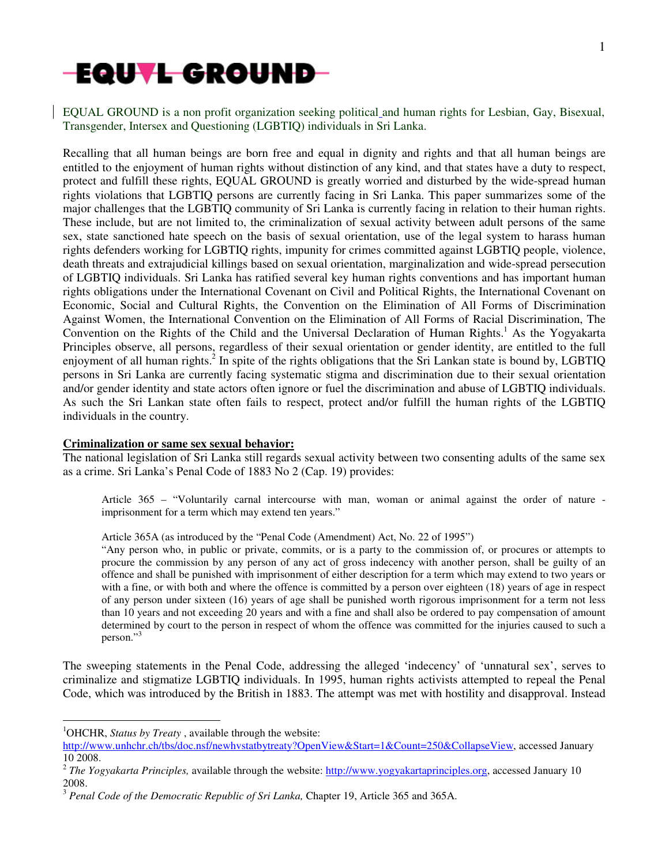

EQUAL GROUND is a non profit organization seeking political and human rights for Lesbian, Gay, Bisexual, Transgender, Intersex and Questioning (LGBTIQ) individuals in Sri Lanka.

Recalling that all human beings are born free and equal in dignity and rights and that all human beings are entitled to the enjoyment of human rights without distinction of any kind, and that states have a duty to respect, protect and fulfill these rights, EQUAL GROUND is greatly worried and disturbed by the wide-spread human rights violations that LGBTIQ persons are currently facing in Sri Lanka. This paper summarizes some of the major challenges that the LGBTIQ community of Sri Lanka is currently facing in relation to their human rights. These include, but are not limited to, the criminalization of sexual activity between adult persons of the same sex, state sanctioned hate speech on the basis of sexual orientation, use of the legal system to harass human rights defenders working for LGBTIQ rights, impunity for crimes committed against LGBTIQ people, violence, death threats and extrajudicial killings based on sexual orientation, marginalization and wide-spread persecution of LGBTIQ individuals. Sri Lanka has ratified several key human rights conventions and has important human rights obligations under the International Covenant on Civil and Political Rights, the International Covenant on Economic, Social and Cultural Rights, the Convention on the Elimination of All Forms of Discrimination Against Women, the International Convention on the Elimination of All Forms of Racial Discrimination, The Convention on the Rights of the Child and the Universal Declaration of Human Rights.<sup>1</sup> As the Yogyakarta Principles observe, all persons, regardless of their sexual orientation or gender identity, are entitled to the full enjoyment of all human rights.<sup>2</sup> In spite of the rights obligations that the Sri Lankan state is bound by, LGBTIQ persons in Sri Lanka are currently facing systematic stigma and discrimination due to their sexual orientation and/or gender identity and state actors often ignore or fuel the discrimination and abuse of LGBTIQ individuals. As such the Sri Lankan state often fails to respect, protect and/or fulfill the human rights of the LGBTIQ individuals in the country.

### **Criminalization or same sex sexual behavior:**

The national legislation of Sri Lanka still regards sexual activity between two consenting adults of the same sex as a crime. Sri Lanka's Penal Code of 1883 No 2 (Cap. 19) provides:

Article 365 – "Voluntarily carnal intercourse with man, woman or animal against the order of nature imprisonment for a term which may extend ten years."

Article 365A (as introduced by the "Penal Code (Amendment) Act, No. 22 of 1995")

"Any person who, in public or private, commits, or is a party to the commission of, or procures or attempts to procure the commission by any person of any act of gross indecency with another person, shall be guilty of an offence and shall be punished with imprisonment of either description for a term which may extend to two years or with a fine, or with both and where the offence is committed by a person over eighteen (18) years of age in respect of any person under sixteen (16) years of age shall be punished worth rigorous imprisonment for a term not less than 10 years and not exceeding 20 years and with a fine and shall also be ordered to pay compensation of amount determined by court to the person in respect of whom the offence was committed for the injuries caused to such a person."<sup>3</sup>

The sweeping statements in the Penal Code, addressing the alleged 'indecency' of 'unnatural sex', serves to criminalize and stigmatize LGBTIQ individuals. In 1995, human rights activists attempted to repeal the Penal Code, which was introduced by the British in 1883. The attempt was met with hostility and disapproval. Instead

 $\overline{a}$ 

<sup>&</sup>lt;sup>1</sup>OHCHR, *Status by Treaty*, available through the website:

http://www.unhchr.ch/tbs/doc.nsf/newhvstatbytreaty?OpenView&Start=1&Count=250&CollapseView, accessed January 10 2008.

<sup>&</sup>lt;sup>2</sup> The Yogyakarta Principles, available through the website: http://www.yogyakartaprinciples.org, accessed January 10 2008.

<sup>3</sup> *Penal Code of the Democratic Republic of Sri Lanka,* Chapter 19, Article 365 and 365A.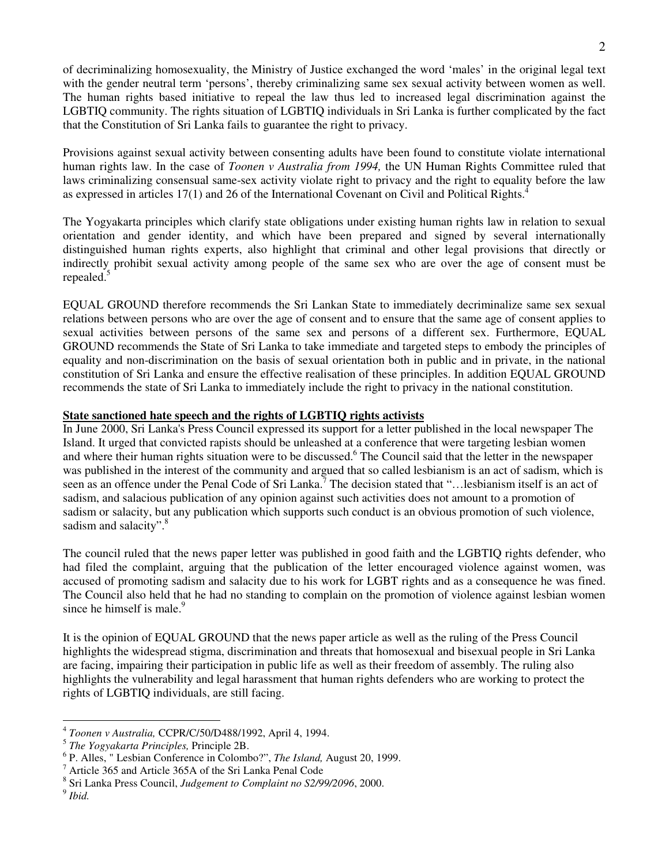2

of decriminalizing homosexuality, the Ministry of Justice exchanged the word 'males' in the original legal text with the gender neutral term 'persons', thereby criminalizing same sex sexual activity between women as well. The human rights based initiative to repeal the law thus led to increased legal discrimination against the LGBTIQ community. The rights situation of LGBTIQ individuals in Sri Lanka is further complicated by the fact that the Constitution of Sri Lanka fails to guarantee the right to privacy.

Provisions against sexual activity between consenting adults have been found to constitute violate international human rights law. In the case of *Toonen v Australia from 1994,* the UN Human Rights Committee ruled that laws criminalizing consensual same-sex activity violate right to privacy and the right to equality before the law as expressed in articles  $17(1)$  and 26 of the International Covenant on Civil and Political Rights.<sup>4</sup>

The Yogyakarta principles which clarify state obligations under existing human rights law in relation to sexual orientation and gender identity, and which have been prepared and signed by several internationally distinguished human rights experts, also highlight that criminal and other legal provisions that directly or indirectly prohibit sexual activity among people of the same sex who are over the age of consent must be repealed.<sup>5</sup>

EQUAL GROUND therefore recommends the Sri Lankan State to immediately decriminalize same sex sexual relations between persons who are over the age of consent and to ensure that the same age of consent applies to sexual activities between persons of the same sex and persons of a different sex. Furthermore, EQUAL GROUND recommends the State of Sri Lanka to take immediate and targeted steps to embody the principles of equality and non-discrimination on the basis of sexual orientation both in public and in private, in the national constitution of Sri Lanka and ensure the effective realisation of these principles. In addition EQUAL GROUND recommends the state of Sri Lanka to immediately include the right to privacy in the national constitution.

## **State sanctioned hate speech and the rights of LGBTIQ rights activists**

In June 2000, Sri Lanka's Press Council expressed its support for a letter published in the local newspaper The Island. It urged that convicted rapists should be unleashed at a conference that were targeting lesbian women and where their human rights situation were to be discussed.<sup>6</sup> The Council said that the letter in the newspaper was published in the interest of the community and argued that so called lesbianism is an act of sadism, which is seen as an offence under the Penal Code of Sri Lanka.<sup>7</sup> The decision stated that "... lesbianism itself is an act of sadism, and salacious publication of any opinion against such activities does not amount to a promotion of sadism or salacity, but any publication which supports such conduct is an obvious promotion of such violence, sadism and salacity".<sup>8</sup>

The council ruled that the news paper letter was published in good faith and the LGBTIQ rights defender, who had filed the complaint, arguing that the publication of the letter encouraged violence against women, was accused of promoting sadism and salacity due to his work for LGBT rights and as a consequence he was fined. The Council also held that he had no standing to complain on the promotion of violence against lesbian women since he himself is male. $\degree$ 

It is the opinion of EQUAL GROUND that the news paper article as well as the ruling of the Press Council highlights the widespread stigma, discrimination and threats that homosexual and bisexual people in Sri Lanka are facing, impairing their participation in public life as well as their freedom of assembly. The ruling also highlights the vulnerability and legal harassment that human rights defenders who are working to protect the rights of LGBTIQ individuals, are still facing.

 4 *Toonen v Australia,* CCPR/C/50/D488/1992, April 4, 1994.

<sup>5</sup> *The Yogyakarta Principles,* Principle 2B.

<sup>6</sup> P. Alles, " Lesbian Conference in Colombo?", *The Island,* August 20, 1999.

<sup>7</sup> Article 365 and Article 365A of the Sri Lanka Penal Code

<sup>8</sup> Sri Lanka Press Council, *Judgement to Complaint no S2/99/2096*, 2000.

<sup>9</sup> *Ibid.*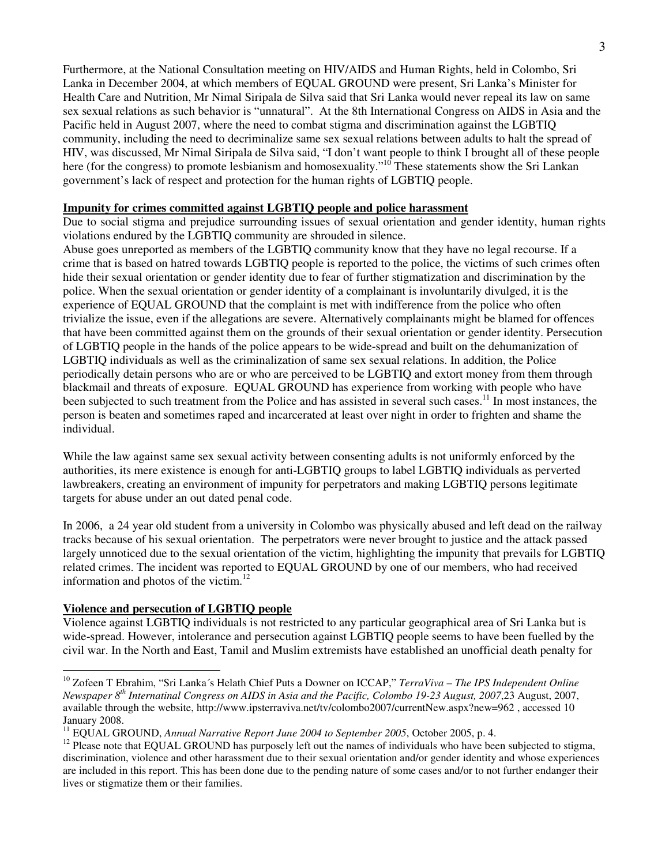Furthermore, at the National Consultation meeting on HIV/AIDS and Human Rights, held in Colombo, Sri Lanka in December 2004, at which members of EQUAL GROUND were present, Sri Lanka's Minister for Health Care and Nutrition, Mr Nimal Siripala de Silva said that Sri Lanka would never repeal its law on same sex sexual relations as such behavior is "unnatural". At the 8th International Congress on AIDS in Asia and the Pacific held in August 2007, where the need to combat stigma and discrimination against the LGBTIQ community, including the need to decriminalize same sex sexual relations between adults to halt the spread of HIV, was discussed, Mr Nimal Siripala de Silva said, "I don't want people to think I brought all of these people here (for the congress) to promote lesbianism and homosexuality."<sup>10</sup> These statements show the Sri Lankan government's lack of respect and protection for the human rights of LGBTIQ people.

#### **Impunity for crimes committed against LGBTIQ people and police harassment**

Due to social stigma and prejudice surrounding issues of sexual orientation and gender identity, human rights violations endured by the LGBTIQ community are shrouded in silence.

Abuse goes unreported as members of the LGBTIQ community know that they have no legal recourse. If a crime that is based on hatred towards LGBTIQ people is reported to the police, the victims of such crimes often hide their sexual orientation or gender identity due to fear of further stigmatization and discrimination by the police. When the sexual orientation or gender identity of a complainant is involuntarily divulged, it is the experience of EQUAL GROUND that the complaint is met with indifference from the police who often trivialize the issue, even if the allegations are severe. Alternatively complainants might be blamed for offences that have been committed against them on the grounds of their sexual orientation or gender identity. Persecution of LGBTIQ people in the hands of the police appears to be wide-spread and built on the dehumanization of LGBTIQ individuals as well as the criminalization of same sex sexual relations. In addition, the Police periodically detain persons who are or who are perceived to be LGBTIQ and extort money from them through blackmail and threats of exposure. EQUAL GROUND has experience from working with people who have been subjected to such treatment from the Police and has assisted in several such cases.<sup>11</sup> In most instances, the person is beaten and sometimes raped and incarcerated at least over night in order to frighten and shame the individual.

While the law against same sex sexual activity between consenting adults is not uniformly enforced by the authorities, its mere existence is enough for anti-LGBTIQ groups to label LGBTIQ individuals as perverted lawbreakers, creating an environment of impunity for perpetrators and making LGBTIQ persons legitimate targets for abuse under an out dated penal code.

In 2006, a 24 year old student from a university in Colombo was physically abused and left dead on the railway tracks because of his sexual orientation. The perpetrators were never brought to justice and the attack passed largely unnoticed due to the sexual orientation of the victim, highlighting the impunity that prevails for LGBTIQ related crimes. The incident was reported to EQUAL GROUND by one of our members, who had received information and photos of the victim.<sup>12</sup>

#### **Violence and persecution of LGBTIQ people**

 $\overline{a}$ 

Violence against LGBTIQ individuals is not restricted to any particular geographical area of Sri Lanka but is wide-spread. However, intolerance and persecution against LGBTIQ people seems to have been fuelled by the civil war. In the North and East, Tamil and Muslim extremists have established an unofficial death penalty for

<sup>10</sup> Zofeen T Ebrahim, "Sri Lanka´s Helath Chief Puts a Downer on ICCAP," *TerraViva – The IPS Independent Online Newspaper 8th Internatinal Congress on AIDS in Asia and the Pacific, Colombo 19-23 August, 2007*,23 August, 2007, available through the website, http://www.ipsterraviva.net/tv/colombo2007/currentNew.aspx?new=962 , accessed 10 January 2008.

<sup>&</sup>lt;sup>11</sup> EOUAL GROUND, *Annual Narrative Report June 2004 to September 2005*, October 2005, p. 4.

<sup>&</sup>lt;sup>12</sup> Please note that EQUAL GROUND has purposely left out the names of individuals who have been subjected to stigma, discrimination, violence and other harassment due to their sexual orientation and/or gender identity and whose experiences are included in this report. This has been done due to the pending nature of some cases and/or to not further endanger their lives or stigmatize them or their families.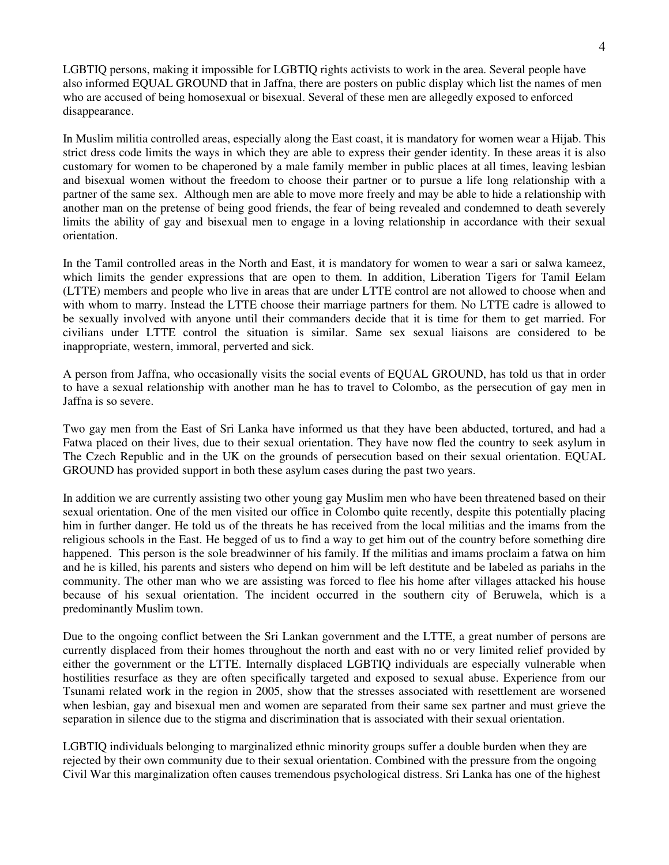LGBTIQ persons, making it impossible for LGBTIQ rights activists to work in the area. Several people have also informed EQUAL GROUND that in Jaffna, there are posters on public display which list the names of men who are accused of being homosexual or bisexual. Several of these men are allegedly exposed to enforced disappearance.

In Muslim militia controlled areas, especially along the East coast, it is mandatory for women wear a Hijab. This strict dress code limits the ways in which they are able to express their gender identity. In these areas it is also customary for women to be chaperoned by a male family member in public places at all times, leaving lesbian and bisexual women without the freedom to choose their partner or to pursue a life long relationship with a partner of the same sex. Although men are able to move more freely and may be able to hide a relationship with another man on the pretense of being good friends, the fear of being revealed and condemned to death severely limits the ability of gay and bisexual men to engage in a loving relationship in accordance with their sexual orientation.

In the Tamil controlled areas in the North and East, it is mandatory for women to wear a sari or salwa kameez, which limits the gender expressions that are open to them. In addition, Liberation Tigers for Tamil Eelam (LTTE) members and people who live in areas that are under LTTE control are not allowed to choose when and with whom to marry. Instead the LTTE choose their marriage partners for them. No LTTE cadre is allowed to be sexually involved with anyone until their commanders decide that it is time for them to get married. For civilians under LTTE control the situation is similar. Same sex sexual liaisons are considered to be inappropriate, western, immoral, perverted and sick.

A person from Jaffna, who occasionally visits the social events of EQUAL GROUND, has told us that in order to have a sexual relationship with another man he has to travel to Colombo, as the persecution of gay men in Jaffna is so severe.

Two gay men from the East of Sri Lanka have informed us that they have been abducted, tortured, and had a Fatwa placed on their lives, due to their sexual orientation. They have now fled the country to seek asylum in The Czech Republic and in the UK on the grounds of persecution based on their sexual orientation. EQUAL GROUND has provided support in both these asylum cases during the past two years.

In addition we are currently assisting two other young gay Muslim men who have been threatened based on their sexual orientation. One of the men visited our office in Colombo quite recently, despite this potentially placing him in further danger. He told us of the threats he has received from the local militias and the imams from the religious schools in the East. He begged of us to find a way to get him out of the country before something dire happened. This person is the sole breadwinner of his family. If the militias and imams proclaim a fatwa on him and he is killed, his parents and sisters who depend on him will be left destitute and be labeled as pariahs in the community. The other man who we are assisting was forced to flee his home after villages attacked his house because of his sexual orientation. The incident occurred in the southern city of Beruwela, which is a predominantly Muslim town.

Due to the ongoing conflict between the Sri Lankan government and the LTTE, a great number of persons are currently displaced from their homes throughout the north and east with no or very limited relief provided by either the government or the LTTE. Internally displaced LGBTIQ individuals are especially vulnerable when hostilities resurface as they are often specifically targeted and exposed to sexual abuse. Experience from our Tsunami related work in the region in 2005, show that the stresses associated with resettlement are worsened when lesbian, gay and bisexual men and women are separated from their same sex partner and must grieve the separation in silence due to the stigma and discrimination that is associated with their sexual orientation.

LGBTIQ individuals belonging to marginalized ethnic minority groups suffer a double burden when they are rejected by their own community due to their sexual orientation. Combined with the pressure from the ongoing Civil War this marginalization often causes tremendous psychological distress. Sri Lanka has one of the highest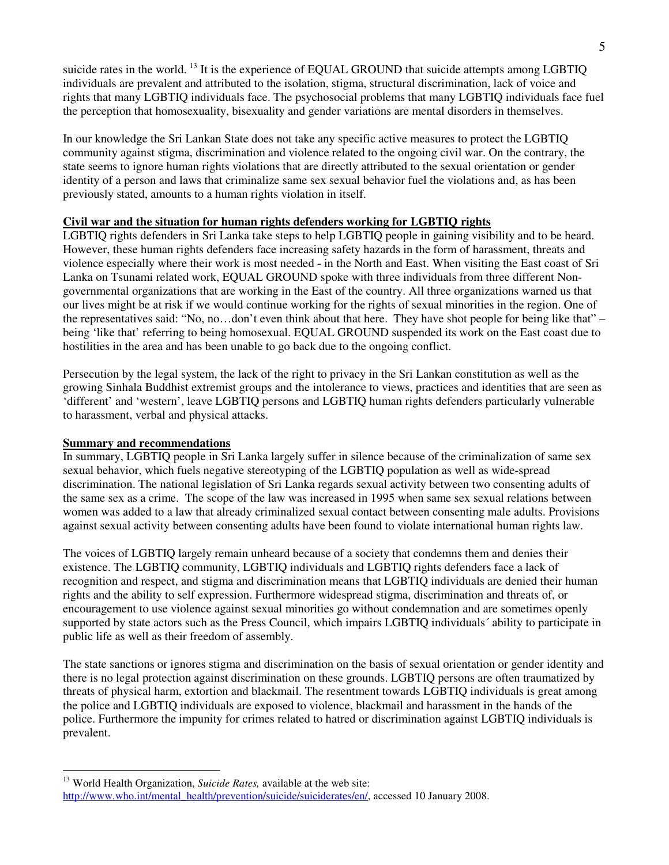suicide rates in the world. <sup>13</sup> It is the experience of EQUAL GROUND that suicide attempts among LGBTIQ individuals are prevalent and attributed to the isolation, stigma, structural discrimination, lack of voice and rights that many LGBTIQ individuals face. The psychosocial problems that many LGBTIQ individuals face fuel the perception that homosexuality, bisexuality and gender variations are mental disorders in themselves.

In our knowledge the Sri Lankan State does not take any specific active measures to protect the LGBTIQ community against stigma, discrimination and violence related to the ongoing civil war. On the contrary, the state seems to ignore human rights violations that are directly attributed to the sexual orientation or gender identity of a person and laws that criminalize same sex sexual behavior fuel the violations and, as has been previously stated, amounts to a human rights violation in itself.

# **Civil war and the situation for human rights defenders working for LGBTIQ rights**

LGBTIQ rights defenders in Sri Lanka take steps to help LGBTIQ people in gaining visibility and to be heard. However, these human rights defenders face increasing safety hazards in the form of harassment, threats and violence especially where their work is most needed - in the North and East. When visiting the East coast of Sri Lanka on Tsunami related work, EQUAL GROUND spoke with three individuals from three different Nongovernmental organizations that are working in the East of the country. All three organizations warned us that our lives might be at risk if we would continue working for the rights of sexual minorities in the region. One of the representatives said: "No, no…don't even think about that here. They have shot people for being like that" – being 'like that' referring to being homosexual. EQUAL GROUND suspended its work on the East coast due to hostilities in the area and has been unable to go back due to the ongoing conflict.

Persecution by the legal system, the lack of the right to privacy in the Sri Lankan constitution as well as the growing Sinhala Buddhist extremist groups and the intolerance to views, practices and identities that are seen as 'different' and 'western', leave LGBTIQ persons and LGBTIQ human rights defenders particularly vulnerable to harassment, verbal and physical attacks.

### **Summary and recommendations**

In summary, LGBTIQ people in Sri Lanka largely suffer in silence because of the criminalization of same sex sexual behavior, which fuels negative stereotyping of the LGBTIQ population as well as wide-spread discrimination. The national legislation of Sri Lanka regards sexual activity between two consenting adults of the same sex as a crime. The scope of the law was increased in 1995 when same sex sexual relations between women was added to a law that already criminalized sexual contact between consenting male adults. Provisions against sexual activity between consenting adults have been found to violate international human rights law.

The voices of LGBTIQ largely remain unheard because of a society that condemns them and denies their existence. The LGBTIQ community, LGBTIQ individuals and LGBTIQ rights defenders face a lack of recognition and respect, and stigma and discrimination means that LGBTIQ individuals are denied their human rights and the ability to self expression. Furthermore widespread stigma, discrimination and threats of, or encouragement to use violence against sexual minorities go without condemnation and are sometimes openly supported by state actors such as the Press Council, which impairs LGBTIQ individuals´ ability to participate in public life as well as their freedom of assembly.

The state sanctions or ignores stigma and discrimination on the basis of sexual orientation or gender identity and there is no legal protection against discrimination on these grounds. LGBTIQ persons are often traumatized by threats of physical harm, extortion and blackmail. The resentment towards LGBTIQ individuals is great among the police and LGBTIQ individuals are exposed to violence, blackmail and harassment in the hands of the police. Furthermore the impunity for crimes related to hatred or discrimination against LGBTIQ individuals is prevalent.

 $\overline{a}$ <sup>13</sup> World Health Organization, *Suicide Rates*, available at the web site:

http://www.who.int/mental\_health/prevention/suicide/suiciderates/en/, accessed 10 January 2008.